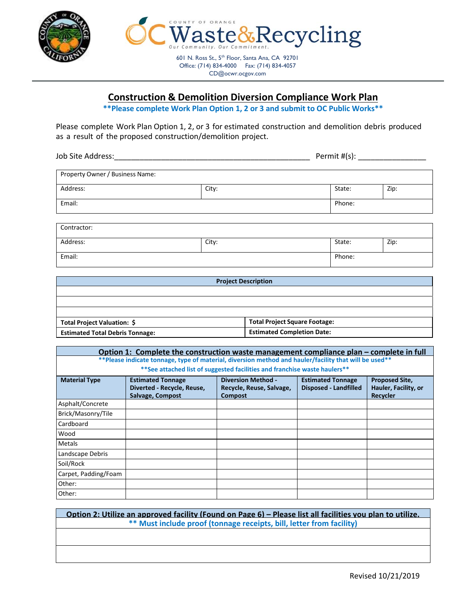



CD@ocwr.ocgov.com

# **Construction & Demolition Diversion Compliance Work Plan**

**\*\*Please complete Work Plan Option 1, 2 or 3 and submit to OC Public Works\*\***

Please complete Work Plan Option 1, 2, or 3 for estimated construction and demolition debris produced as a result of the proposed construction/demolition project.

Job Site Address:\_\_\_\_\_\_\_\_\_\_\_\_\_\_\_\_\_\_\_\_\_\_\_\_\_\_\_\_\_\_\_\_\_\_\_\_\_\_\_\_\_\_\_\_\_\_ Permit #(s): \_\_\_\_\_\_\_\_\_\_\_\_\_\_\_\_

| Property Owner / Business Name: |       |        |      |
|---------------------------------|-------|--------|------|
| Address:                        | City: | State: | Zip: |
| Email:                          |       | Phone: |      |

| Contractor: |       |        |      |
|-------------|-------|--------|------|
| Address:    | City: | State: | Zip: |
| Email:      |       | Phone: |      |

| <b>Project Description</b>             |                                      |  |  |  |  |
|----------------------------------------|--------------------------------------|--|--|--|--|
|                                        |                                      |  |  |  |  |
|                                        |                                      |  |  |  |  |
|                                        |                                      |  |  |  |  |
| Total Project Valuation: \$            | <b>Total Project Square Footage:</b> |  |  |  |  |
| <b>Estimated Total Debris Tonnage:</b> | <b>Estimated Completion Date:</b>    |  |  |  |  |

### **Option 1: Complete the construction waste management compliance plan – complete in full \*\*Please indicate tonnage, type of material, diversion method and hauler/facility that will be used\*\* \*\*See attached list of suggested facilities and franchise waste haulers\*\***

| <b>Material Type</b> | <b>Estimated Tonnage</b><br>Diverted - Recycle, Reuse,<br>Salvage, Compost | <b>Diversion Method -</b><br>Recycle, Reuse, Salvage,<br><b>Compost</b> | <b>Estimated Tonnage</b><br><b>Disposed - Landfilled</b> | <b>Proposed Site,</b><br>Hauler, Facility, or<br><b>Recycler</b> |
|----------------------|----------------------------------------------------------------------------|-------------------------------------------------------------------------|----------------------------------------------------------|------------------------------------------------------------------|
| Asphalt/Concrete     |                                                                            |                                                                         |                                                          |                                                                  |
| Brick/Masonry/Tile   |                                                                            |                                                                         |                                                          |                                                                  |
| Cardboard            |                                                                            |                                                                         |                                                          |                                                                  |
| Wood                 |                                                                            |                                                                         |                                                          |                                                                  |
| <b>Metals</b>        |                                                                            |                                                                         |                                                          |                                                                  |
| Landscape Debris     |                                                                            |                                                                         |                                                          |                                                                  |
| Soil/Rock            |                                                                            |                                                                         |                                                          |                                                                  |
| Carpet, Padding/Foam |                                                                            |                                                                         |                                                          |                                                                  |
| Other:               |                                                                            |                                                                         |                                                          |                                                                  |
| Other:               |                                                                            |                                                                         |                                                          |                                                                  |

# **Option 2: Utilize an approved facility (Found on Page 6) – Please list all facilities you plan to utilize. \*\* Must include proof (tonnage receipts, bill, letter from facility)**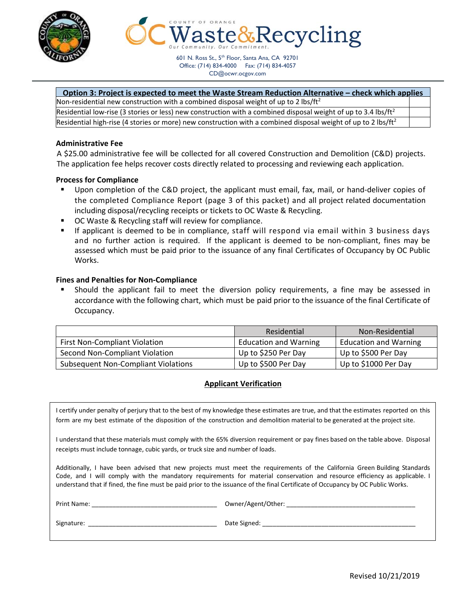



601 N. Ross St., 5<sup>th</sup> Floor, Santa Ana, CA 92701 Office: (714) 834-4000 Fax: (714) 834-4057 CD@ocwr.ocgov.com

#### **Option 3: Project is expected to meet the Waste Stream Reduction Alternative – check which applies**

| Non-residential new construction with a combined disposal weight of up to 2 lbs/ft <sup>2</sup>                            |  |
|----------------------------------------------------------------------------------------------------------------------------|--|
| Residential low-rise (3 stories or less) new construction with a combined disposal weight of up to 3.4 lbs/ft <sup>2</sup> |  |
| Residential high-rise (4 stories or more) new construction with a combined disposal weight of up to 2 lbs/ft <sup>2</sup>  |  |

#### **Administrative Fee**

A \$25.00 administrative fee will be collected for all covered Construction and Demolition (C&D) projects. The application fee helps recover costs directly related to processing and reviewing each application.

#### **Process for Compliance**

- Upon completion of the C&D project, the applicant must email, fax, mail, or hand‐deliver copies of the completed Compliance Report (page 3 of this packet) and all project related documentation including disposal/recycling receipts or tickets to OC Waste & Recycling.
- OC Waste & Recycling staff will review for compliance.
- If applicant is deemed to be in compliance, staff will respond via email within 3 business days and no further action is required. If the applicant is deemed to be non-compliant, fines may be assessed which must be paid prior to the issuance of any final Certificates of Occupancy by OC Public Works.

#### **Fines and Penalties for Non‐Compliance**

 Should the applicant fail to meet the diversion policy requirements, a fine may be assessed in accordance with the following chart, which must be paid prior to the issuance of the final Certificate of Occupancy.

|                                            | Residential                  | Non-Residential              |
|--------------------------------------------|------------------------------|------------------------------|
| <b>First Non-Compliant Violation</b>       | <b>Education and Warning</b> | <b>Education and Warning</b> |
| Second Non-Compliant Violation             | Up to \$250 Per Day          | Up to \$500 Per Day          |
| <b>Subsequent Non-Compliant Violations</b> | Up to \$500 Per Day          | Up to \$1000 Per Day         |

#### **Applicant Verification**

I certify under penalty of perjury that to the best of my knowledge these estimates are true, and that the estimates reported on this form are my best estimate of the disposition of the construction and demolition material to be generated at the project site.

I understand that these materials must comply with the 65% diversion requirement or pay fines based on the table above. Disposal receipts must include tonnage, cubic yards, or truck size and number of loads.

Additionally, I have been advised that new projects must meet the requirements of the California Green Building Standards Code, and I will comply with the mandatory requirements for material conservation and resource efficiency as applicable. I understand that if fined, the fine must be paid prior to the issuance of the final Certificate of Occupancy by OC Public Works.

Print Name: \_\_\_\_\_\_\_\_\_\_\_\_\_\_\_\_\_\_\_\_\_\_\_\_\_\_\_\_\_\_\_\_\_\_\_\_ Owner/Agent/Other: \_\_\_\_\_\_\_\_\_\_\_\_\_\_\_\_\_\_\_\_\_\_\_\_\_\_\_\_\_\_\_\_\_\_\_\_\_ Signature: \_\_\_\_\_\_\_\_\_\_\_\_\_\_\_\_\_\_\_\_\_\_\_\_\_\_\_\_\_\_\_\_\_\_\_\_\_ Date Signed: \_\_\_\_\_\_\_\_\_\_\_\_\_\_\_\_\_\_\_\_\_\_\_\_\_\_\_\_\_\_\_\_\_\_\_\_\_\_\_\_\_\_\_\_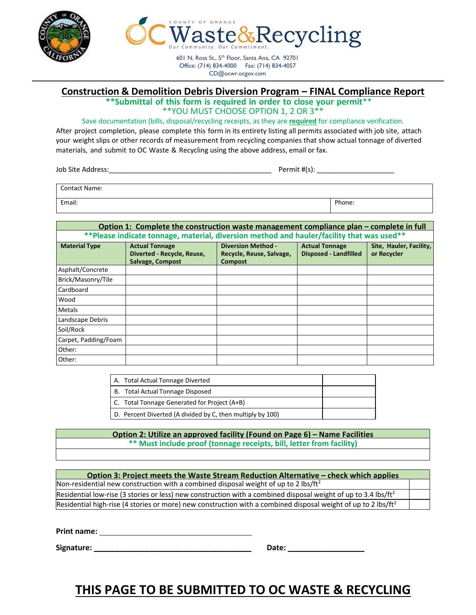



Office: (714) 834-4000 Fax: (714) 834-4057

CD@ocwr.ocgov.com

# **Construction & Demolition Debris Diversion Program – FINAL Compliance Report**

**\*\*Submittal of this form is required in order to close your permit**\*\* \*\*YOU MUST CHOOSE OPTION 1, 2 OR 3\*\*

#### Save documentation (bills, disposal/recycling receipts, as they are **required** for compliance verification.

After project completion, please complete this form in its entirety listing all permits associated with job site, attach your weight slips or other records of measurement from recycling companies that show actual tonnage of diverted materials, and submit to OC Waste & Recycling using the above address, email or fax.

Job Site Address:\_\_\_\_\_\_\_\_\_\_\_\_\_\_\_\_\_\_\_\_\_\_\_\_\_\_\_\_\_\_\_\_\_\_\_\_\_\_\_\_\_\_ Permit #(s): \_\_\_\_\_\_\_\_\_\_\_\_\_\_\_\_\_\_\_\_

| <b>Contact Name:</b> |        |
|----------------------|--------|
| Email:               | Phone: |

| Option 1: Complete the construction waste management compliance plan – complete in full   |                                                                         |                                                                         |                                                       |                                        |  |  |  |  |  |
|-------------------------------------------------------------------------------------------|-------------------------------------------------------------------------|-------------------------------------------------------------------------|-------------------------------------------------------|----------------------------------------|--|--|--|--|--|
| **Please indicate tonnage, material, diversion method and hauler/facility that was used** |                                                                         |                                                                         |                                                       |                                        |  |  |  |  |  |
| <b>Material Type</b>                                                                      | <b>Actual Tonnage</b><br>Diverted - Recycle, Reuse,<br>Salvage, Compost | <b>Diversion Method -</b><br>Recycle, Reuse, Salvage,<br><b>Compost</b> | <b>Actual Tonnage</b><br><b>Disposed - Landfilled</b> | Site, Hauler, Facility,<br>or Recycler |  |  |  |  |  |
| Asphalt/Concrete                                                                          |                                                                         |                                                                         |                                                       |                                        |  |  |  |  |  |
| Brick/Masonry/Tile                                                                        |                                                                         |                                                                         |                                                       |                                        |  |  |  |  |  |
| Cardboard                                                                                 |                                                                         |                                                                         |                                                       |                                        |  |  |  |  |  |
| Wood                                                                                      |                                                                         |                                                                         |                                                       |                                        |  |  |  |  |  |
| <b>Metals</b>                                                                             |                                                                         |                                                                         |                                                       |                                        |  |  |  |  |  |
| Landscape Debris                                                                          |                                                                         |                                                                         |                                                       |                                        |  |  |  |  |  |
| Soil/Rock                                                                                 |                                                                         |                                                                         |                                                       |                                        |  |  |  |  |  |
| Carpet, Padding/Foam                                                                      |                                                                         |                                                                         |                                                       |                                        |  |  |  |  |  |
| Other:                                                                                    |                                                                         |                                                                         |                                                       |                                        |  |  |  |  |  |
| Other:                                                                                    |                                                                         |                                                                         |                                                       |                                        |  |  |  |  |  |

| A. Total Actual Tonnage Diverted                           |  |
|------------------------------------------------------------|--|
| B. Total Actual Tonnage Disposed                           |  |
| C. Total Tonnage Generated for Project (A+B)               |  |
| D. Percent Diverted (A divided by C, then multiply by 100) |  |

### **Option 2: Utilize an approved facility (Found on Page 6) – Name Facilities \*\* Must include proof (tonnage receipts, bill, letter from facility)**

| Option 3: Project meets the Waste Stream Reduction Alternative – check which applies                                       |  |  |  |  |  |
|----------------------------------------------------------------------------------------------------------------------------|--|--|--|--|--|
| Non-residential new construction with a combined disposal weight of up to 2 lbs/ft <sup>2</sup>                            |  |  |  |  |  |
| Residential low-rise (3 stories or less) new construction with a combined disposal weight of up to 3.4 lbs/ft <sup>2</sup> |  |  |  |  |  |
| Residential high-rise (4 stories or more) new construction with a combined disposal weight of up to 2 lbs/ft <sup>2</sup>  |  |  |  |  |  |

**Print name:** 

**Signature: \_\_\_\_\_\_\_\_\_\_\_\_\_\_\_\_\_\_\_\_\_\_\_\_\_\_\_\_\_\_\_\_\_\_\_\_\_ Date: \_\_\_\_\_\_\_\_\_\_\_\_\_\_\_\_\_\_**

# **THIS PAGE TO BE SUBMITTED TO OC WASTE & RECYCLING**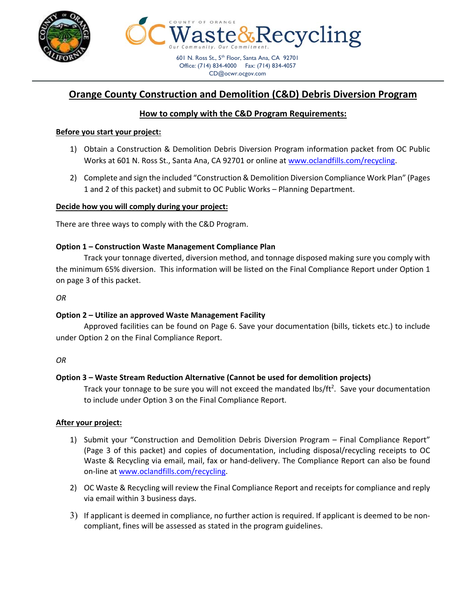



CD@ocwr.ocgov.com

# **Orange County Construction and Demolition (C&D) Debris Diversion Program**

# **How to comply with the C&D Program Requirements:**

### **Before you start your project:**

- 1) Obtain a Construction & Demolition Debris Diversion Program information packet from OC Public Works at 601 N. Ross St., Santa Ana, CA 92701 or online at www.oclandfills.com/recycling.
- 2) Complete and sign the included "Construction & Demolition Diversion Compliance Work Plan" (Pages 1 and 2 of this packet) and submit to OC Public Works – Planning Department.

# **Decide how you will comply during your project:**

There are three ways to comply with the C&D Program.

### **Option 1 – Construction Waste Management Compliance Plan**

 Track your tonnage diverted, diversion method, and tonnage disposed making sure you comply with the minimum 65% diversion. This information will be listed on the Final Compliance Report under Option 1 on page 3 of this packet.

*OR* 

# **Option 2 – Utilize an approved Waste Management Facility**

 Approved facilities can be found on Page 6. Save your documentation (bills, tickets etc.) to include under Option 2 on the Final Compliance Report.

### *OR*

# **Option 3 – Waste Stream Reduction Alternative (Cannot be used for demolition projects)**

Track your tonnage to be sure you will not exceed the mandated lbs/ft<sup>2</sup>. Save your documentation to include under Option 3 on the Final Compliance Report.

# **After your project:**

- 1) Submit your "Construction and Demolition Debris Diversion Program Final Compliance Report" (Page 3 of this packet) and copies of documentation, including disposal/recycling receipts to OC Waste & Recycling via email, mail, fax or hand-delivery. The Compliance Report can also be found on‐line at www.oclandfills.com/recycling.
- 2) OC Waste & Recycling will review the Final Compliance Report and receipts for compliance and reply via email within 3 business days.
- 3) If applicant is deemed in compliance, no further action is required. If applicant is deemed to be non‐ compliant, fines will be assessed as stated in the program guidelines.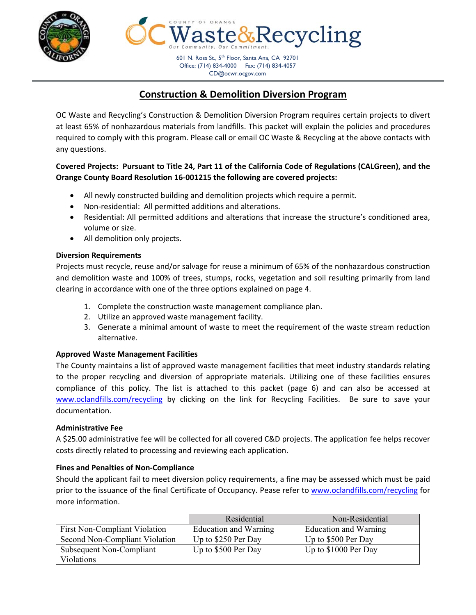

601 N. Ross St., 5<sup>th</sup> Floor, Santa Ana, CA 92701 Office: (714) 834-4000 Fax: (714) 834-4057 CD@ocwr.ocgov.com

 $k$ Recycling

# **Construction & Demolition Diversion Program**

OC Waste and Recycling's Construction & Demolition Diversion Program requires certain projects to divert at least 65% of nonhazardous materials from landfills. This packet will explain the policies and procedures required to comply with this program. Please call or email OC Waste & Recycling at the above contacts with any questions.

# **Covered Projects: Pursuant to Title 24, Part 11 of the California Code of Regulations (CALGreen), and the Orange County Board Resolution 16‐001215 the following are covered projects:**

- All newly constructed building and demolition projects which require a permit.
- Non-residential: All permitted additions and alterations.
- Residential: All permitted additions and alterations that increase the structure's conditioned area, volume or size.
- All demolition only projects.

### **Diversion Requirements**

Projects must recycle, reuse and/or salvage for reuse a minimum of 65% of the nonhazardous construction and demolition waste and 100% of trees, stumps, rocks, vegetation and soil resulting primarily from land clearing in accordance with one of the three options explained on page 4.

- 1. Complete the construction waste management compliance plan.
- 2. Utilize an approved waste management facility.
- 3. Generate a minimal amount of waste to meet the requirement of the waste stream reduction alternative.

# **Approved Waste Management Facilities**

The County maintains a list of approved waste management facilities that meet industry standards relating to the proper recycling and diversion of appropriate materials. Utilizing one of these facilities ensures compliance of this policy. The list is attached to this packet (page 6) and can also be accessed at www.oclandfills.com/recycling by clicking on the link for Recycling Facilities. Be sure to save your documentation.

### **Administrative Fee**

A \$25.00 administrative fee will be collected for all covered C&D projects. The application fee helps recover costs directly related to processing and reviewing each application.

### **Fines and Penalties of Non‐Compliance**

Should the applicant fail to meet diversion policy requirements, a fine may be assessed which must be paid prior to the issuance of the final Certificate of Occupancy. Pease refer to www.oclandfills.com/recycling for more information.

|                                      | Residential           | Non-Residential       |
|--------------------------------------|-----------------------|-----------------------|
| <b>First Non-Compliant Violation</b> | Education and Warning | Education and Warning |
| Second Non-Compliant Violation       | Up to \$250 Per Day   | Up to \$500 Per Day   |
| Subsequent Non-Compliant             | Up to \$500 Per Day   | Up to $$1000$ Per Day |
| <b>Violations</b>                    |                       |                       |